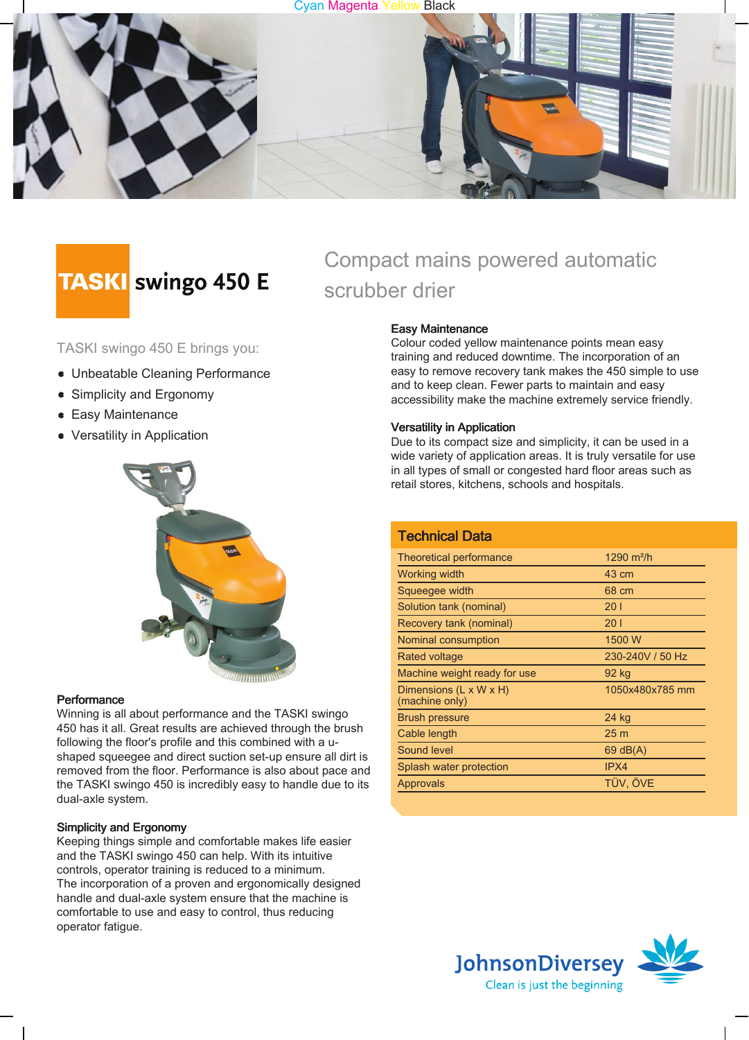



# **TASKI** swingo 450 E

TASKI swingo 450 E brings you:

- Unbeatable Cleaning Performance
- Simplicity and Ergonomy
- **Easy Maintenance**
- Versatility in Application



#### **Performance**

Winning is all about performance and the TASKI swingo 450 has it all. Great results are achieved through the brush following the floor's profile and this combined with a ushaped squeegee and direct suction set-up ensure all dirt is removed from the floor. Performance is also about pace and the TASKI swingo 450 is incredibly easy to handle due to its dual-axle system.

#### Simplicity and Ergonomy

Keeping things simple and comfortable makes life easier and the TASKI swingo 450 can help. With its intuitive controls, operator training is reduced to a minimum. The incorporation of a proven and ergonomically designed handle and dual-axle system ensure that the machine is comfortable to use and easy to control, thus reducing operator fatigue.

## Compact mains powered automatic scrubber drier

#### Easy Maintenance

Colour coded yellow maintenance points mean easy training and reduced downtime. The incorporation of an easy to remove recovery tank makes the 450 simple to use and to keep clean. Fewer parts to maintain and easy accessibility make the machine extremely service friendly.

#### Versatility in Application

Due to its compact size and simplicity, it can be used in a wide variety of application areas. It is truly versatile for use in all types of small or congested hard floor areas such as retail stores, kitchens, schools and hospitals.

| <b>Technical Data</b>                                |                  |
|------------------------------------------------------|------------------|
| Theoretical performance                              | 1290 $m^2/h$     |
| Working width                                        | 43 cm            |
| Squeegee width                                       | 68 cm            |
| Solution tank (nominal)                              | 201              |
| Recovery tank (nominal)                              | 201              |
| Nominal consumption                                  | 1500 W           |
| Rated voltage                                        | 230-240V / 50 Hz |
| Machine weight ready for use                         | 92 kg            |
| Dimensions $(L \times W \times H)$<br>(machine only) | 1050x480x785 mm  |
| <b>Brush pressure</b>                                | 24 kg            |
| Cable length                                         | 25 m             |
| Sound level                                          | $69$ dB(A)       |
| Splash water protection                              | IPX4             |
| Approvals                                            | TÜV. ÖVE         |